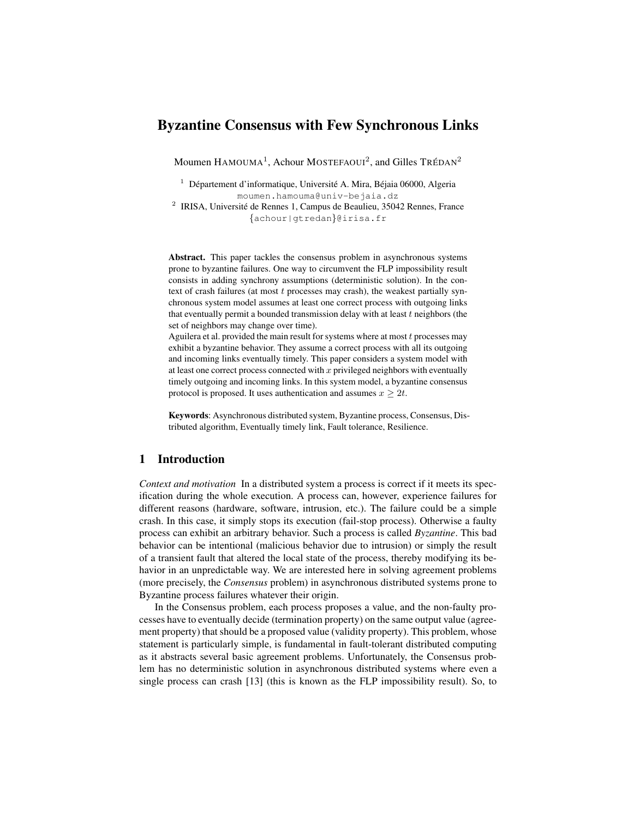# Byzantine Consensus with Few Synchronous Links

Moumen  $H$ AMOUMA<sup>1</sup>, Achour MOSTEFAOUI<sup>2</sup>, and Gilles  $T$ RÉDAN<sup>2</sup>

 $1$  Département d'informatique, Université A. Mira, Béjaia 06000, Algeria moumen.hamouma@univ-bejaia.dz

<sup>2</sup> IRISA, Université de Rennes 1, Campus de Beaulieu, 35042 Rennes, France {achour|gtredan}@irisa.fr

Abstract. This paper tackles the consensus problem in asynchronous systems prone to byzantine failures. One way to circumvent the FLP impossibility result consists in adding synchrony assumptions (deterministic solution). In the context of crash failures (at most  $t$  processes may crash), the weakest partially synchronous system model assumes at least one correct process with outgoing links that eventually permit a bounded transmission delay with at least  $t$  neighbors (the set of neighbors may change over time).

Aguilera et al. provided the main result for systems where at most  $t$  processes may exhibit a byzantine behavior. They assume a correct process with all its outgoing and incoming links eventually timely. This paper considers a system model with at least one correct process connected with  $x$  privileged neighbors with eventually timely outgoing and incoming links. In this system model, a byzantine consensus protocol is proposed. It uses authentication and assumes  $x \geq 2t$ .

Keywords: Asynchronous distributed system, Byzantine process, Consensus, Distributed algorithm, Eventually timely link, Fault tolerance, Resilience.

# 1 Introduction

*Context and motivation* In a distributed system a process is correct if it meets its specification during the whole execution. A process can, however, experience failures for different reasons (hardware, software, intrusion, etc.). The failure could be a simple crash. In this case, it simply stops its execution (fail-stop process). Otherwise a faulty process can exhibit an arbitrary behavior. Such a process is called *Byzantine*. This bad behavior can be intentional (malicious behavior due to intrusion) or simply the result of a transient fault that altered the local state of the process, thereby modifying its behavior in an unpredictable way. We are interested here in solving agreement problems (more precisely, the *Consensus* problem) in asynchronous distributed systems prone to Byzantine process failures whatever their origin.

In the Consensus problem, each process proposes a value, and the non-faulty processes have to eventually decide (termination property) on the same output value (agreement property) that should be a proposed value (validity property). This problem, whose statement is particularly simple, is fundamental in fault-tolerant distributed computing as it abstracts several basic agreement problems. Unfortunately, the Consensus problem has no deterministic solution in asynchronous distributed systems where even a single process can crash [13] (this is known as the FLP impossibility result). So, to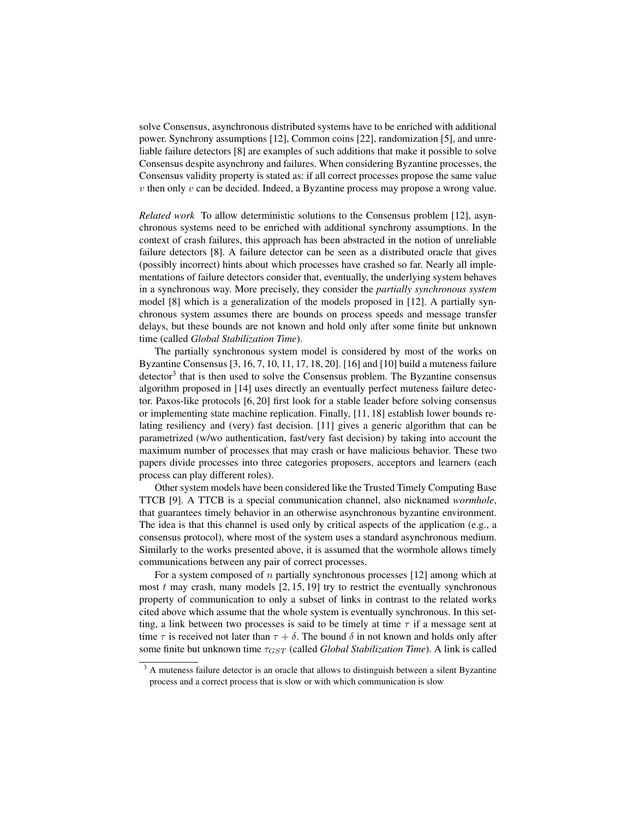solve Consensus, asynchronous distributed systems have to be enriched with additional power. Synchrony assumptions [12], Common coins [22], randomization [5], and unreliable failure detectors [8] are examples of such additions that make it possible to solve Consensus despite asynchrony and failures. When considering Byzantine processes, the Consensus validity property is stated as: if all correct processes propose the same value  $v$  then only  $v$  can be decided. Indeed, a Byzantine process may propose a wrong value.

*Related work* To allow deterministic solutions to the Consensus problem [12], asynchronous systems need to be enriched with additional synchrony assumptions. In the context of crash failures, this approach has been abstracted in the notion of unreliable failure detectors [8]. A failure detector can be seen as a distributed oracle that gives (possibly incorrect) hints about which processes have crashed so far. Nearly all implementations of failure detectors consider that, eventually, the underlying system behaves in a synchronous way. More precisely, they consider the *partially synchronous system* model [8] which is a generalization of the models proposed in [12]. A partially synchronous system assumes there are bounds on process speeds and message transfer delays, but these bounds are not known and hold only after some finite but unknown time (called *Global Stabilization Time*).

The partially synchronous system model is considered by most of the works on Byzantine Consensus [3, 16, 7, 10, 11, 17, 18, 20]. [16] and [10] build a muteness failure detector<sup>3</sup> that is then used to solve the Consensus problem. The Byzantine consensus algorithm proposed in [14] uses directly an eventually perfect muteness failure detector. Paxos-like protocols [6, 20] first look for a stable leader before solving consensus or implementing state machine replication. Finally, [11, 18] establish lower bounds relating resiliency and (very) fast decision. [11] gives a generic algorithm that can be parametrized (w/wo authentication, fast/very fast decision) by taking into account the maximum number of processes that may crash or have malicious behavior. These two papers divide processes into three categories proposers, acceptors and learners (each process can play different roles).

Other system models have been considered like the Trusted Timely Computing Base TTCB [9]. A TTCB is a special communication channel, also nicknamed *wormhole*, that guarantees timely behavior in an otherwise asynchronous byzantine environment. The idea is that this channel is used only by critical aspects of the application (e.g., a consensus protocol), where most of the system uses a standard asynchronous medium. Similarly to the works presented above, it is assumed that the wormhole allows timely communications between any pair of correct processes.

For a system composed of  $n$  partially synchronous processes [12] among which at most  $t$  may crash, many models  $[2, 15, 19]$  try to restrict the eventually synchronous property of communication to only a subset of links in contrast to the related works cited above which assume that the whole system is eventually synchronous. In this setting, a link between two processes is said to be timely at time  $\tau$  if a message sent at time  $\tau$  is received not later than  $\tau + \delta$ . The bound  $\delta$  in not known and holds only after some finite but unknown time  $\tau_{GST}$  (called *Global Stabilization Time*). A link is called

 $3$  A muteness failure detector is an oracle that allows to distinguish between a silent Byzantine process and a correct process that is slow or with which communication is slow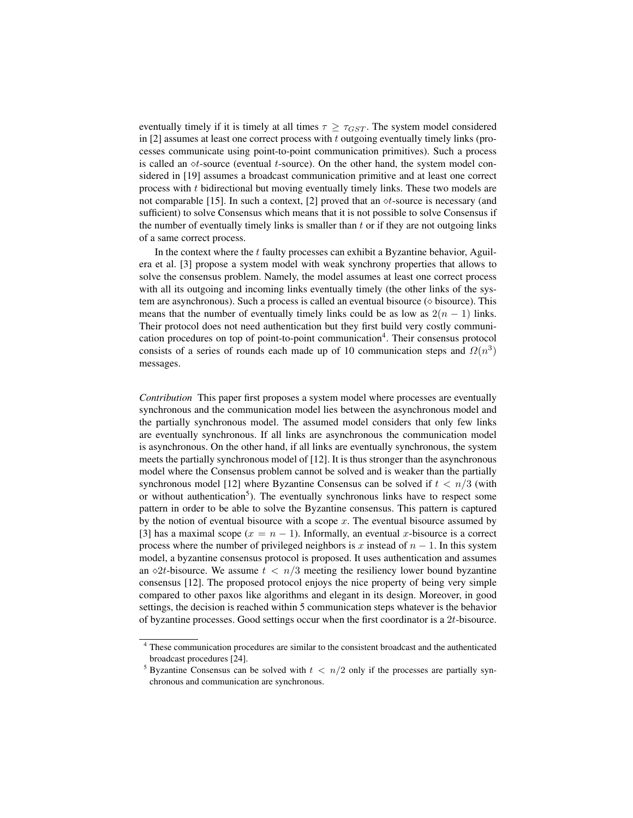eventually timely if it is timely at all times  $\tau \geq \tau_{GST}$ . The system model considered in [2] assumes at least one correct process with t outgoing eventually timely links (processes communicate using point-to-point communication primitives). Such a process is called an  $\circ t$ -source (eventual t-source). On the other hand, the system model considered in [19] assumes a broadcast communication primitive and at least one correct process with t bidirectional but moving eventually timely links. These two models are not comparable [15]. In such a context, [2] proved that an  $\diamond t$ -source is necessary (and sufficient) to solve Consensus which means that it is not possible to solve Consensus if the number of eventually timely links is smaller than  $t$  or if they are not outgoing links of a same correct process.

In the context where the  $t$  faulty processes can exhibit a Byzantine behavior, Aguilera et al. [3] propose a system model with weak synchrony properties that allows to solve the consensus problem. Namely, the model assumes at least one correct process with all its outgoing and incoming links eventually timely (the other links of the system are asynchronous). Such a process is called an eventual bisource ( $\diamond$  bisource). This means that the number of eventually timely links could be as low as  $2(n - 1)$  links. Their protocol does not need authentication but they first build very costly communication procedures on top of point-to-point communication<sup>4</sup>. Their consensus protocol consists of a series of rounds each made up of 10 communication steps and  $\Omega(n^3)$ messages.

*Contribution* This paper first proposes a system model where processes are eventually synchronous and the communication model lies between the asynchronous model and the partially synchronous model. The assumed model considers that only few links are eventually synchronous. If all links are asynchronous the communication model is asynchronous. On the other hand, if all links are eventually synchronous, the system meets the partially synchronous model of [12]. It is thus stronger than the asynchronous model where the Consensus problem cannot be solved and is weaker than the partially synchronous model [12] where Byzantine Consensus can be solved if  $t < n/3$  (with or without authentication<sup>5</sup>). The eventually synchronous links have to respect some pattern in order to be able to solve the Byzantine consensus. This pattern is captured by the notion of eventual bisource with a scope  $x$ . The eventual bisource assumed by [3] has a maximal scope  $(x = n - 1)$ . Informally, an eventual x-bisource is a correct process where the number of privileged neighbors is x instead of  $n - 1$ . In this system model, a byzantine consensus protocol is proposed. It uses authentication and assumes an  $\Diamond 2t$ -bisource. We assume  $t < n/3$  meeting the resiliency lower bound byzantine consensus [12]. The proposed protocol enjoys the nice property of being very simple compared to other paxos like algorithms and elegant in its design. Moreover, in good settings, the decision is reached within 5 communication steps whatever is the behavior of byzantine processes. Good settings occur when the first coordinator is a 2t-bisource.

<sup>4</sup> These communication procedures are similar to the consistent broadcast and the authenticated broadcast procedures [24].

<sup>&</sup>lt;sup>5</sup> Byzantine Consensus can be solved with  $t < n/2$  only if the processes are partially synchronous and communication are synchronous.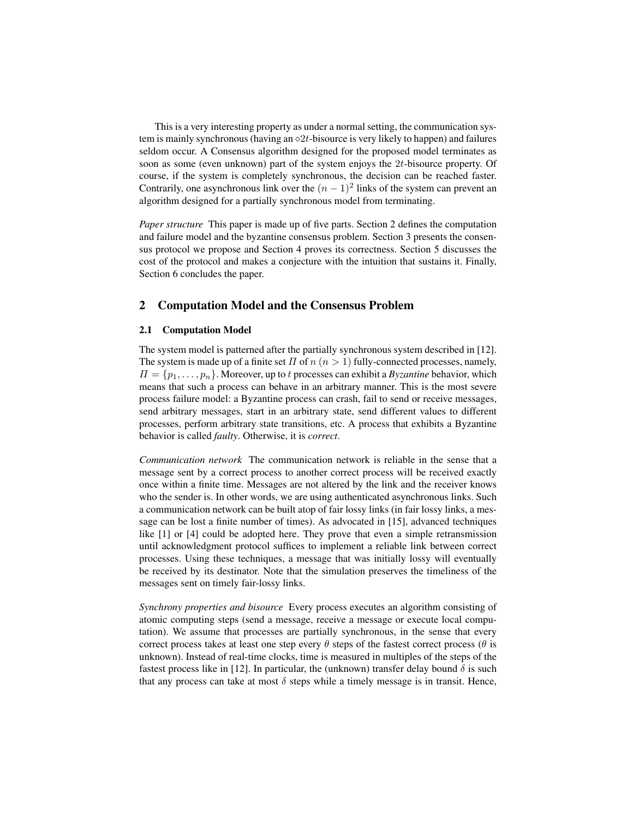This is a very interesting property as under a normal setting, the communication system is mainly synchronous (having an  $\Diamond 2t$ -bisource is very likely to happen) and failures seldom occur. A Consensus algorithm designed for the proposed model terminates as soon as some (even unknown) part of the system enjoys the 2t-bisource property. Of course, if the system is completely synchronous, the decision can be reached faster. Contrarily, one asynchronous link over the  $(n-1)^2$  links of the system can prevent an algorithm designed for a partially synchronous model from terminating.

*Paper structure* This paper is made up of five parts. Section 2 defines the computation and failure model and the byzantine consensus problem. Section 3 presents the consensus protocol we propose and Section 4 proves its correctness. Section 5 discusses the cost of the protocol and makes a conjecture with the intuition that sustains it. Finally, Section 6 concludes the paper.

## 2 Computation Model and the Consensus Problem

#### 2.1 Computation Model

The system model is patterned after the partially synchronous system described in [12]. The system is made up of a finite set  $\Pi$  of  $n (n > 1)$  fully-connected processes, namely,  $\Pi = \{p_1, \ldots, p_n\}$ . Moreover, up to t processes can exhibit a *Byzantine* behavior, which means that such a process can behave in an arbitrary manner. This is the most severe process failure model: a Byzantine process can crash, fail to send or receive messages, send arbitrary messages, start in an arbitrary state, send different values to different processes, perform arbitrary state transitions, etc. A process that exhibits a Byzantine behavior is called *faulty*. Otherwise, it is *correct*.

*Communication network* The communication network is reliable in the sense that a message sent by a correct process to another correct process will be received exactly once within a finite time. Messages are not altered by the link and the receiver knows who the sender is. In other words, we are using authenticated asynchronous links. Such a communication network can be built atop of fair lossy links (in fair lossy links, a message can be lost a finite number of times). As advocated in [15], advanced techniques like [1] or [4] could be adopted here. They prove that even a simple retransmission until acknowledgment protocol suffices to implement a reliable link between correct processes. Using these techniques, a message that was initially lossy will eventually be received by its destinator. Note that the simulation preserves the timeliness of the messages sent on timely fair-lossy links.

*Synchrony properties and bisource* Every process executes an algorithm consisting of atomic computing steps (send a message, receive a message or execute local computation). We assume that processes are partially synchronous, in the sense that every correct process takes at least one step every  $\theta$  steps of the fastest correct process ( $\theta$  is unknown). Instead of real-time clocks, time is measured in multiples of the steps of the fastest process like in [12]. In particular, the (unknown) transfer delay bound  $\delta$  is such that any process can take at most  $\delta$  steps while a timely message is in transit. Hence,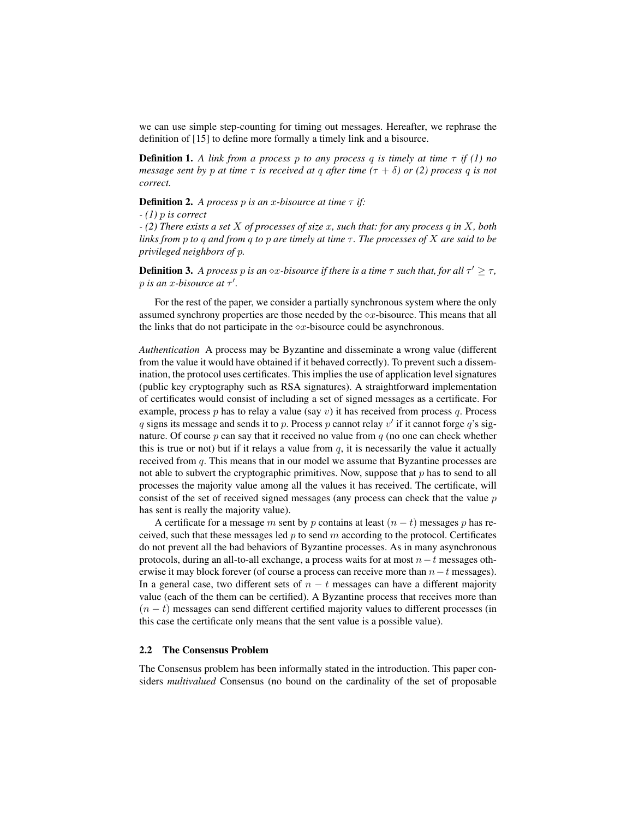we can use simple step-counting for timing out messages. Hereafter, we rephrase the definition of [15] to define more formally a timely link and a bisource.

**Definition 1.** A link from a process p to any process q is timely at time  $\tau$  if (1) no *message sent by* p *at time*  $\tau$  *is received at q after time*  $(\tau + \delta)$  *or* (2) process q *is not correct.*

**Definition 2.** *A process p is an x-bisource at time*  $\tau$  *if:* 

*- (1)* p *is correct*

*- (2) There exists a set* X *of processes of size* x*, such that: for any process* q *in* X*, both links from* p *to* q *and from* q *to* p *are timely at time* τ *. The processes of* X *are said to be privileged neighbors of* p*.*

**Definition 3.** A process p is an  $\infty$ *-bisource if there is a time*  $\tau$  *such that, for all*  $\tau' \geq \tau$ *,*  $p$  *is an x-bisource at*  $\tau'$ .

For the rest of the paper, we consider a partially synchronous system where the only assumed synchrony properties are those needed by the  $\infty$ -bisource. This means that all the links that do not participate in the  $\Diamond x$ -bisource could be asynchronous.

*Authentication* A process may be Byzantine and disseminate a wrong value (different from the value it would have obtained if it behaved correctly). To prevent such a dissemination, the protocol uses certificates. This implies the use of application level signatures (public key cryptography such as RSA signatures). A straightforward implementation of certificates would consist of including a set of signed messages as a certificate. For example, process p has to relay a value (say v) it has received from process q. Process q signs its message and sends it to p. Process p cannot relay  $v'$  if it cannot forge q's signature. Of course  $p$  can say that it received no value from  $q$  (no one can check whether this is true or not) but if it relays a value from  $q$ , it is necessarily the value it actually received from  $q$ . This means that in our model we assume that Byzantine processes are not able to subvert the cryptographic primitives. Now, suppose that  $p$  has to send to all processes the majority value among all the values it has received. The certificate, will consist of the set of received signed messages (any process can check that the value  $p$ ) has sent is really the majority value).

A certificate for a message m sent by p contains at least  $(n - t)$  messages p has received, such that these messages led  $p$  to send  $m$  according to the protocol. Certificates do not prevent all the bad behaviors of Byzantine processes. As in many asynchronous protocols, during an all-to-all exchange, a process waits for at most  $n-t$  messages otherwise it may block forever (of course a process can receive more than  $n-t$  messages). In a general case, two different sets of  $n - t$  messages can have a different majority value (each of the them can be certified). A Byzantine process that receives more than  $(n - t)$  messages can send different certified majority values to different processes (in this case the certificate only means that the sent value is a possible value).

#### 2.2 The Consensus Problem

The Consensus problem has been informally stated in the introduction. This paper considers *multivalued* Consensus (no bound on the cardinality of the set of proposable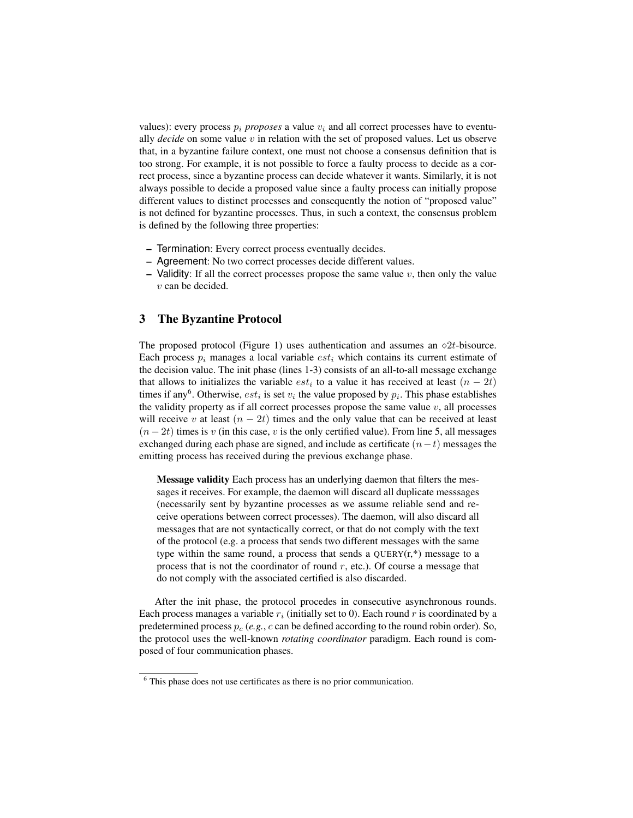values): every process  $p_i$  *proposes* a value  $v_i$  and all correct processes have to eventually *decide* on some value  $v$  in relation with the set of proposed values. Let us observe that, in a byzantine failure context, one must not choose a consensus definition that is too strong. For example, it is not possible to force a faulty process to decide as a correct process, since a byzantine process can decide whatever it wants. Similarly, it is not always possible to decide a proposed value since a faulty process can initially propose different values to distinct processes and consequently the notion of "proposed value" is not defined for byzantine processes. Thus, in such a context, the consensus problem is defined by the following three properties:

- Termination: Every correct process eventually decides.
- Agreement: No two correct processes decide different values.
- Validity: If all the correct processes propose the same value  $v$ , then only the value v can be decided.

## 3 The Byzantine Protocol

The proposed protocol (Figure 1) uses authentication and assumes an  $\Diamond 2t$ -bisource. Each process  $p_i$  manages a local variable  $est_i$  which contains its current estimate of the decision value. The init phase (lines 1-3) consists of an all-to-all message exchange that allows to initializes the variable  $est_i$  to a value it has received at least  $(n - 2t)$ times if any<sup>6</sup>. Otherwise,  $est_i$  is set  $v_i$  the value proposed by  $p_i$ . This phase establishes the validity property as if all correct processes propose the same value  $v$ , all processes will receive v at least  $(n - 2t)$  times and the only value that can be received at least  $(n-2t)$  times is v (in this case, v is the only certified value). From line 5, all messages exchanged during each phase are signed, and include as certificate  $(n-t)$  messages the emitting process has received during the previous exchange phase.

Message validity Each process has an underlying daemon that filters the messages it receives. For example, the daemon will discard all duplicate messsages (necessarily sent by byzantine processes as we assume reliable send and receive operations between correct processes). The daemon, will also discard all messages that are not syntactically correct, or that do not comply with the text of the protocol (e.g. a process that sends two different messages with the same type within the same round, a process that sends a  $\text{QUERV}(r,*)$  message to a process that is not the coordinator of round  $r$ , etc.). Of course a message that do not comply with the associated certified is also discarded.

After the init phase, the protocol procedes in consecutive asynchronous rounds. Each process manages a variable  $r_i$  (initially set to 0). Each round r is coordinated by a predetermined process  $p_c$  (*e.g.*, *c* can be defined according to the round robin order). So, the protocol uses the well-known *rotating coordinator* paradigm. Each round is composed of four communication phases.

<sup>&</sup>lt;sup>6</sup> This phase does not use certificates as there is no prior communication.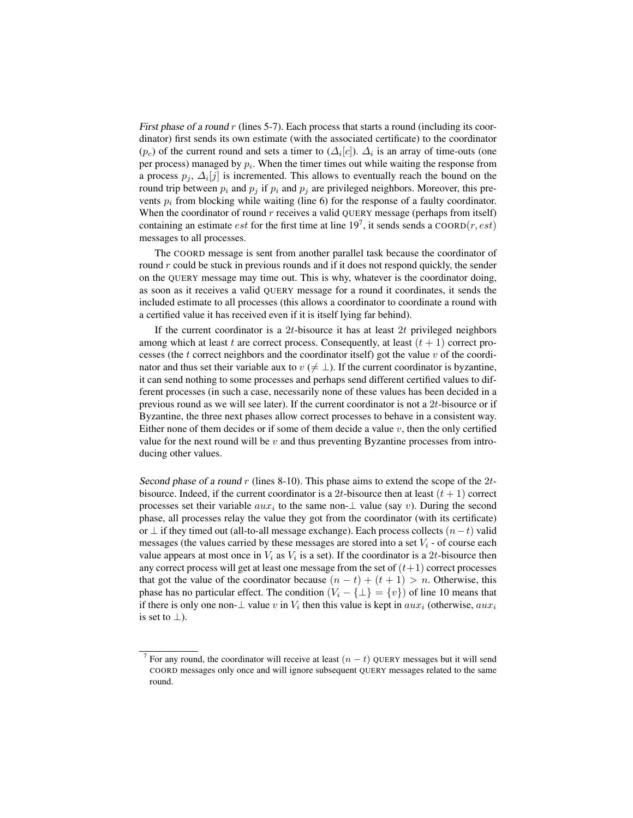First phase of a round  $r$  (lines 5-7). Each process that starts a round (including its coordinator) first sends its own estimate (with the associated certificate) to the coordinator  $(p_c)$  of the current round and sets a timer to  $(\Delta_i[c])$ .  $\Delta_i$  is an array of time-outs (one per process) managed by  $p_i$ . When the timer times out while waiting the response from a process  $p_j$ ,  $\Delta_i[j]$  is incremented. This allows to eventually reach the bound on the round trip between  $p_i$  and  $p_j$  if  $p_i$  and  $p_j$  are privileged neighbors. Moreover, this prevents  $p_i$  from blocking while waiting (line 6) for the response of a faulty coordinator. When the coordinator of round  $r$  receives a valid QUERY message (perhaps from itself) containing an estimate *est* for the first time at line  $19^7$ , it sends sends a COORD $(r, est)$ messages to all processes.

The COORD message is sent from another parallel task because the coordinator of round r could be stuck in previous rounds and if it does not respond quickly, the sender on the QUERY message may time out. This is why, whatever is the coordinator doing, as soon as it receives a valid QUERY message for a round it coordinates, it sends the included estimate to all processes (this allows a coordinator to coordinate a round with a certified value it has received even if it is itself lying far behind).

If the current coordinator is a  $2t$ -bisource it has at least  $2t$  privileged neighbors among which at least t are correct process. Consequently, at least  $(t + 1)$  correct processes (the t correct neighbors and the coordinator itself) got the value  $v$  of the coordinator and thus set their variable aux to  $v \neq \perp$ ). If the current coordinator is byzantine, it can send nothing to some processes and perhaps send different certified values to different processes (in such a case, necessarily none of these values has been decided in a previous round as we will see later). If the current coordinator is not a  $2t$ -bisource or if Byzantine, the three next phases allow correct processes to behave in a consistent way. Either none of them decides or if some of them decide a value  $v$ , then the only certified value for the next round will be  $v$  and thus preventing Byzantine processes from introducing other values.

Second phase of a round r (lines 8-10). This phase aims to extend the scope of the  $2t$ bisource. Indeed, if the current coordinator is a 2t-bisource then at least  $(t + 1)$  correct processes set their variable  $aux_i$  to the same non- $\perp$  value (say v). During the second phase, all processes relay the value they got from the coordinator (with its certificate) or  $\perp$  if they timed out (all-to-all message exchange). Each process collects  $(n-t)$  valid messages (the values carried by these messages are stored into a set  $V_i$  - of course each value appears at most once in  $V_i$  as  $V_i$  is a set). If the coordinator is a 2t-bisource then any correct process will get at least one message from the set of  $(t+1)$  correct processes that got the value of the coordinator because  $(n - t) + (t + 1) > n$ . Otherwise, this phase has no particular effect. The condition  $(V_i - \{\perp\} = \{v\})$  of line 10 means that if there is only one non- $\perp$  value v in  $V_i$  then this value is kept in  $aux_i$  (otherwise,  $aux_i$ is set to  $\perp$ ).

<sup>&</sup>lt;sup>7</sup> For any round, the coordinator will receive at least  $(n - t)$  QUERY messages but it will send COORD messages only once and will ignore subsequent QUERY messages related to the same round.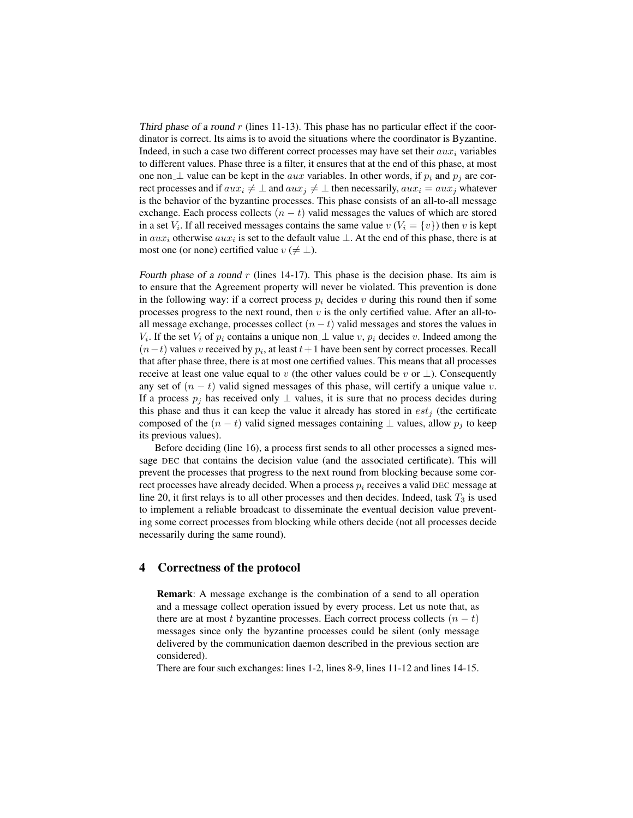Third phase of a round r (lines 11-13). This phase has no particular effect if the coordinator is correct. Its aims is to avoid the situations where the coordinator is Byzantine. Indeed, in such a case two different correct processes may have set their  $aux_i$  variables to different values. Phase three is a filter, it ensures that at the end of this phase, at most one non ⊥ value can be kept in the *aux* variables. In other words, if  $p_i$  and  $p_j$  are correct processes and if  $aux_i \neq \perp$  and  $aux_j \neq \perp$  then necessarily,  $aux_i = aux_j$  whatever is the behavior of the byzantine processes. This phase consists of an all-to-all message exchange. Each process collects  $(n - t)$  valid messages the values of which are stored in a set  $V_i$ . If all received messages contains the same value  $v(V_i = \{v\})$  then v is kept in  $aux_i$  otherwise  $aux_i$  is set to the default value  $\perp$ . At the end of this phase, there is at most one (or none) certified value  $v \neq \perp$ ).

Fourth phase of a round  $r$  (lines 14-17). This phase is the decision phase. Its aim is to ensure that the Agreement property will never be violated. This prevention is done in the following way: if a correct process  $p_i$  decides v during this round then if some processes progress to the next round, then  $v$  is the only certified value. After an all-toall message exchange, processes collect  $(n - t)$  valid messages and stores the values in  $V_i$ . If the set  $V_i$  of  $p_i$  contains a unique non  $\perp$  value v,  $p_i$  decides v. Indeed among the  $(n-t)$  values v received by  $p_i$ , at least  $t+1$  have been sent by correct processes. Recall that after phase three, there is at most one certified values. This means that all processes receive at least one value equal to v (the other values could be v or  $\perp$ ). Consequently any set of  $(n - t)$  valid signed messages of this phase, will certify a unique value v. If a process  $p_i$  has received only  $\perp$  values, it is sure that no process decides during this phase and thus it can keep the value it already has stored in  $est_i$  (the certificate composed of the  $(n - t)$  valid signed messages containing  $\perp$  values, allow  $p_j$  to keep its previous values).

Before deciding (line 16), a process first sends to all other processes a signed message DEC that contains the decision value (and the associated certificate). This will prevent the processes that progress to the next round from blocking because some correct processes have already decided. When a process  $p_i$  receives a valid DEC message at line 20, it first relays is to all other processes and then decides. Indeed, task  $T_3$  is used to implement a reliable broadcast to disseminate the eventual decision value preventing some correct processes from blocking while others decide (not all processes decide necessarily during the same round).

## 4 Correctness of the protocol

Remark: A message exchange is the combination of a send to all operation and a message collect operation issued by every process. Let us note that, as there are at most t byzantine processes. Each correct process collects  $(n - t)$ messages since only the byzantine processes could be silent (only message delivered by the communication daemon described in the previous section are considered).

There are four such exchanges: lines 1-2, lines 8-9, lines 11-12 and lines 14-15.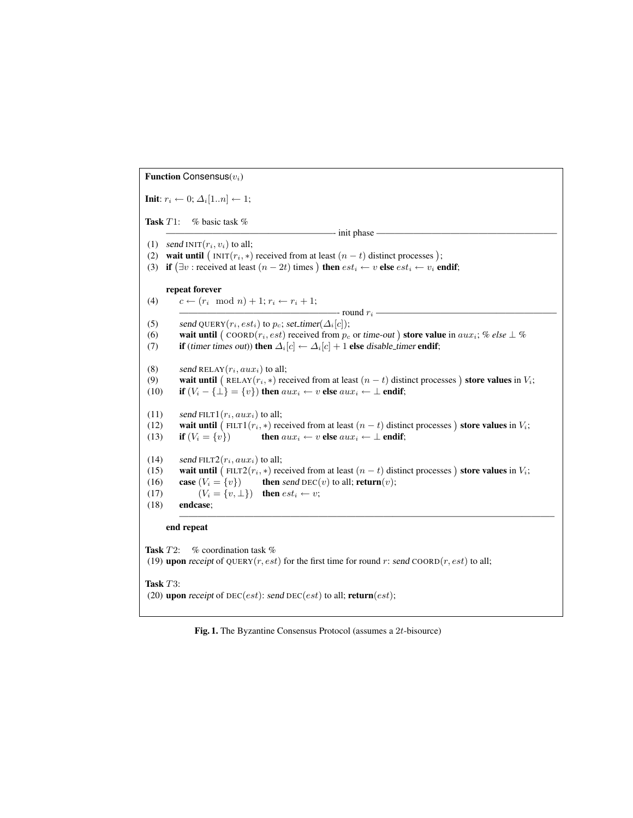```
Function Consensus(v_i)Init: r_i \leftarrow 0; \Delta_i[1..n] \leftarrow 1;Task T1: % basic task %
                                                     ——————————————————- init phase ———————————————————–
(1) send INIT(r_i, v_i) to all;
 (2) wait until (INIT(r_i, *) received from at least (n - t) distinct processes);
 (3) if (\exists v : \text{received at least } (n - 2t) \text{ times } ) then est_i \leftarrow v else est_i \leftarrow v_i endif;
      repeat forever
(4) c \leftarrow (r_i \mod n) + 1; r_i \leftarrow r_i + 1;— round r_i —
(5) send QUERY(r_i, est_i) to p_c; set_timer(\Delta_i[c]);
 (6) wait until (\text{COORD}(r_i, est) received from p<sub>c</sub> or time-out ) store value in aux<sub>i</sub>; % else \perp %
(7) if (timer times out)) then \Delta_i[c] \leftarrow \Delta_i[c] + 1 else disable timer endif;
(8) send RELAY(r_i, aux_i) to all;
 (9) wait until (RELAY(r_i, *) received from at least (n - t) distinct processes ) store values in V_i;
(10) if (V_i - {\perp}) = \{v\} then aux_i \leftarrow v else aux_i \leftarrow \perp endif;
(11) send FILT1(r_i, aux_i) to all;
 (12) wait until \int FILT1(r_i, *) received from at least (n - t) distinct processes \cdot store values in V_i;
(13) if (V_i = \{v\}) then aux_i \leftarrow v else aux_i \leftarrow \perp endif;
(14) send FILT2(r_i, aux_i) to all;
 (15) wait until \int FILT2(r_i, *) received from at least (n - t) distinct processes \cdot store values in V_i;
(16) case (V_i = \{v\}) then send DEC(v) to all; return(v);
(17) (V_i = \{v, \perp\}) then est_i \leftarrow v;(18) endcase;
          \mathcal{L}=\{1,2,3,4\} , we can consider the constant of \mathcal{L}=\{1,3,4\}end repeat
Task T2: % coordination task %
(19) upon receipt of QUERY(r, est) for the first time for round r: send COORD(r, est) to all;
Task T3:
(20) upon receipt of DEC(est): send DEC(est) to all; return(est);
```
Fig. 1. The Byzantine Consensus Protocol (assumes a 2t-bisource)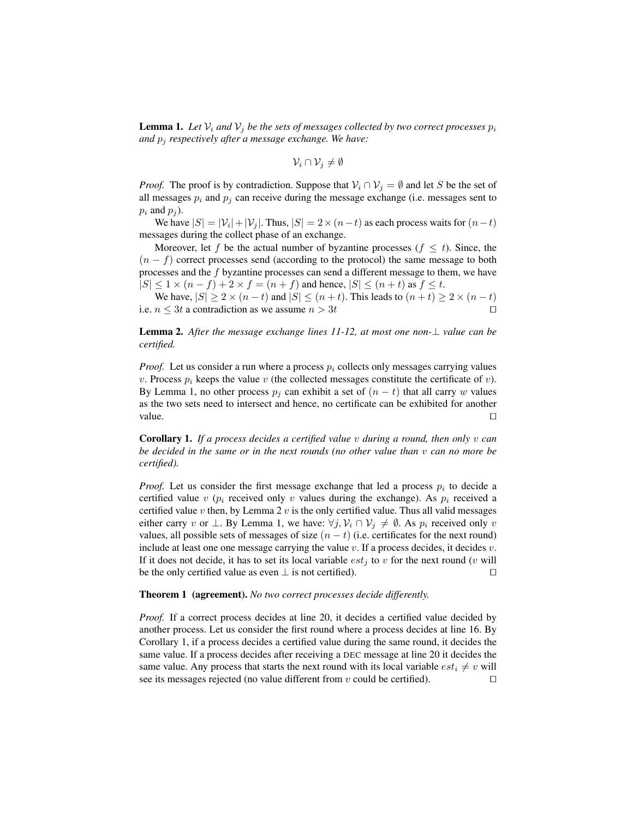**Lemma 1.** Let  $V_i$  and  $V_j$  be the sets of messages collected by two correct processes  $p_i$ *and* p<sup>j</sup> *respectively after a message exchange. We have:*

$$
\mathcal{V}_i \cap \mathcal{V}_j \neq \emptyset
$$

*Proof.* The proof is by contradiction. Suppose that  $V_i \cap V_j = \emptyset$  and let S be the set of all messages  $p_i$  and  $p_j$  can receive during the message exchange (i.e. messages sent to  $p_i$  and  $p_j$ ).

We have  $|S| = |\mathcal{V}_i| + |\mathcal{V}_j|$ . Thus,  $|S| = 2 \times (n-t)$  as each process waits for  $(n-t)$ messages during the collect phase of an exchange.

Moreover, let f be the actual number of byzantine processes ( $f \le t$ ). Since, the  $(n - f)$  correct processes send (according to the protocol) the same message to both processes and the f byzantine processes can send a different message to them, we have  $|S| \leq 1 \times (n-f) + 2 \times f = (n+f)$  and hence,  $|S| \leq (n+f)$  as  $f \leq t$ .

We have,  $|S| \ge 2 \times (n-t)$  and  $|S| \le (n+t)$ . This leads to  $(n+t) \ge 2 \times (n-t)$ i.e.  $n \leq 3t$  a contradiction as we assume  $n > 3t$ 

Lemma 2. *After the message exchange lines 11-12, at most one non-*⊥ *value can be certified.*

*Proof.* Let us consider a run where a process  $p_i$  collects only messages carrying values v. Process  $p_i$  keeps the value v (the collected messages constitute the certificate of v). By Lemma 1, no other process  $p_i$  can exhibit a set of  $(n - t)$  that all carry w values as the two sets need to intersect and hence, no certificate can be exhibited for another value.  $\Box$ 

Corollary 1. *If a process decides a certified value* v *during a round, then only* v *can be decided in the same or in the next rounds (no other value than* v *can no more be certified).*

*Proof.* Let us consider the first message exchange that led a process  $p_i$  to decide a certified value v ( $p_i$  received only v values during the exchange). As  $p_i$  received a certified value  $v$  then, by Lemma 2  $v$  is the only certified value. Thus all valid messages either carry v or  $\perp$ . By Lemma 1, we have:  $\forall j, \mathcal{V}_i \cap \mathcal{V}_j \neq \emptyset$ . As  $p_i$  received only v values, all possible sets of messages of size  $(n - t)$  (i.e. certificates for the next round) include at least one one message carrying the value v. If a process decides, it decides  $v$ . If it does not decide, it has to set its local variable  $est_i$  to v for the next round (v will be the only certified value as even  $\perp$  is not certified).  $\square$ 

### Theorem 1 (agreement). *No two correct processes decide differently.*

*Proof.* If a correct process decides at line 20, it decides a certified value decided by another process. Let us consider the first round where a process decides at line 16. By Corollary 1, if a process decides a certified value during the same round, it decides the same value. If a process decides after receiving a DEC message at line 20 it decides the same value. Any process that starts the next round with its local variable  $est_i \neq v$  will see its messages rejected (no value different from  $v$  could be certified).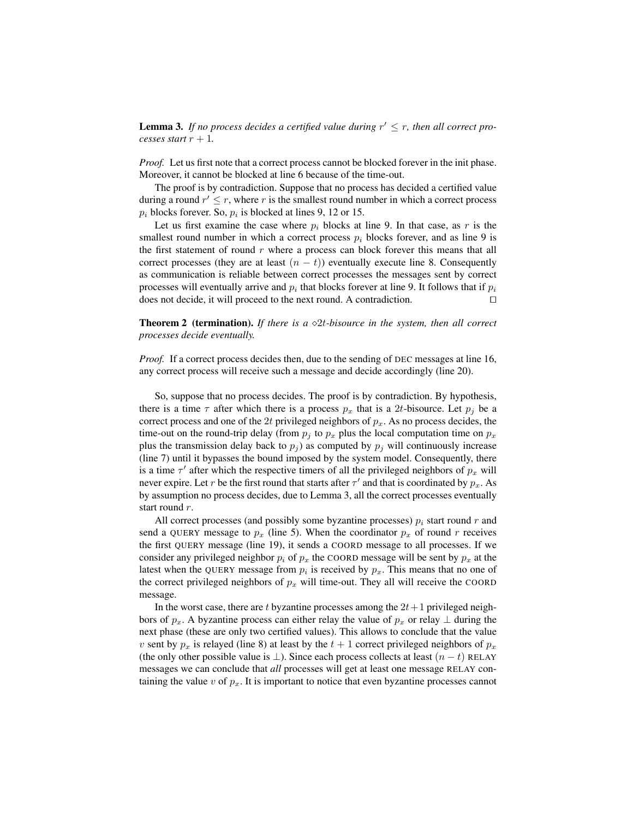**Lemma 3.** If no process decides a certified value during  $r' \leq r$ , then all correct pro*cesses start*  $r + 1$ .

*Proof.* Let us first note that a correct process cannot be blocked forever in the init phase. Moreover, it cannot be blocked at line 6 because of the time-out.

The proof is by contradiction. Suppose that no process has decided a certified value during a round  $r' \leq r$ , where r is the smallest round number in which a correct process  $p_i$  blocks forever. So,  $p_i$  is blocked at lines 9, 12 or 15.

Let us first examine the case where  $p_i$  blocks at line 9. In that case, as r is the smallest round number in which a correct process  $p_i$  blocks forever, and as line 9 is the first statement of round  $r$  where a process can block forever this means that all correct processes (they are at least  $(n - t)$ ) eventually execute line 8. Consequently as communication is reliable between correct processes the messages sent by correct processes will eventually arrive and  $p_i$  that blocks forever at line 9. It follows that if  $p_i$ does not decide, it will proceed to the next round. A contradiction.  $\Box$ 

**Theorem 2 (termination).** If there is a  $\Diamond$ 2t-bisource in the system, then all correct *processes decide eventually.*

*Proof.* If a correct process decides then, due to the sending of DEC messages at line 16, any correct process will receive such a message and decide accordingly (line 20).

So, suppose that no process decides. The proof is by contradiction. By hypothesis, there is a time  $\tau$  after which there is a process  $p_x$  that is a 2t-bisource. Let  $p_i$  be a correct process and one of the 2t privileged neighbors of  $p_x$ . As no process decides, the time-out on the round-trip delay (from  $p_j$  to  $p_x$  plus the local computation time on  $p_x$ plus the transmission delay back to  $p_i$ ) as computed by  $p_j$  will continuously increase (line 7) until it bypasses the bound imposed by the system model. Consequently, there is a time  $\tau'$  after which the respective timers of all the privileged neighbors of  $p_x$  will never expire. Let r be the first round that starts after  $\tau'$  and that is coordinated by  $p_x$ . As by assumption no process decides, due to Lemma 3, all the correct processes eventually start round r.

All correct processes (and possibly some byzantine processes)  $p_i$  start round r and send a QUERY message to  $p_x$  (line 5). When the coordinator  $p_x$  of round r receives the first QUERY message (line 19), it sends a COORD message to all processes. If we consider any privileged neighbor  $p_i$  of  $p_x$  the COORD message will be sent by  $p_x$  at the latest when the QUERY message from  $p_i$  is received by  $p_x$ . This means that no one of the correct privileged neighbors of  $p_x$  will time-out. They all will receive the COORD message.

In the worst case, there are t byzantine processes among the  $2t+1$  privileged neighbors of  $p_x$ . A byzantine process can either relay the value of  $p_x$  or relay  $\perp$  during the next phase (these are only two certified values). This allows to conclude that the value v sent by  $p_x$  is relayed (line 8) at least by the  $t + 1$  correct privileged neighbors of  $p_x$ (the only other possible value is  $\perp$ ). Since each process collects at least  $(n - t)$  RELAY messages we can conclude that *all* processes will get at least one message RELAY containing the value  $v$  of  $p_x$ . It is important to notice that even byzantine processes cannot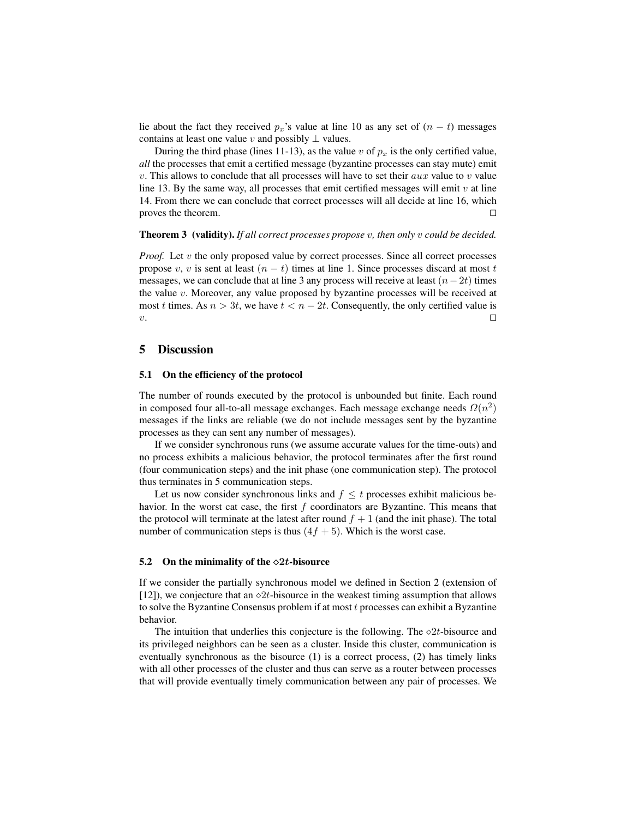lie about the fact they received  $p_x$ 's value at line 10 as any set of  $(n - t)$  messages contains at least one value v and possibly  $\perp$  values.

During the third phase (lines 11-13), as the value v of  $p_x$  is the only certified value, *all* the processes that emit a certified message (byzantine processes can stay mute) emit  $v$ . This allows to conclude that all processes will have to set their  $aux$  value to  $v$  value line 13. By the same way, all processes that emit certified messages will emit  $v$  at line 14. From there we can conclude that correct processes will all decide at line 16, which proves the theorem.  $\Box$ 

### Theorem 3 (validity). *If all correct processes propose* v*, then only* v *could be decided.*

*Proof.* Let v the only proposed value by correct processes. Since all correct processes propose v, v is sent at least  $(n - t)$  times at line 1. Since processes discard at most t messages, we can conclude that at line 3 any process will receive at least  $(n-2t)$  times the value  $v$ . Moreover, any value proposed by byzantine processes will be received at most t times. As  $n > 3t$ , we have  $t < n - 2t$ . Consequently, the only certified value is  $v.$ 

## 5 Discussion

#### 5.1 On the efficiency of the protocol

The number of rounds executed by the protocol is unbounded but finite. Each round in composed four all-to-all message exchanges. Each message exchange needs  $\Omega(n^2)$ messages if the links are reliable (we do not include messages sent by the byzantine processes as they can sent any number of messages).

If we consider synchronous runs (we assume accurate values for the time-outs) and no process exhibits a malicious behavior, the protocol terminates after the first round (four communication steps) and the init phase (one communication step). The protocol thus terminates in 5 communication steps.

Let us now consider synchronous links and  $f \leq t$  processes exhibit malicious behavior. In the worst cat case, the first  $f$  coordinators are Byzantine. This means that the protocol will terminate at the latest after round  $f + 1$  (and the init phase). The total number of communication steps is thus  $(4f + 5)$ . Which is the worst case.

#### 5.2 On the minimality of the  $\Diamond 2t$ -bisource

If we consider the partially synchronous model we defined in Section 2 (extension of [12]), we conjecture that an  $\Diamond 2t$ -bisource in the weakest timing assumption that allows to solve the Byzantine Consensus problem if at most  $t$  processes can exhibit a Byzantine behavior.

The intuition that underlies this conjecture is the following. The  $\Diamond 2t$ -bisource and its privileged neighbors can be seen as a cluster. Inside this cluster, communication is eventually synchronous as the bisource (1) is a correct process, (2) has timely links with all other processes of the cluster and thus can serve as a router between processes that will provide eventually timely communication between any pair of processes. We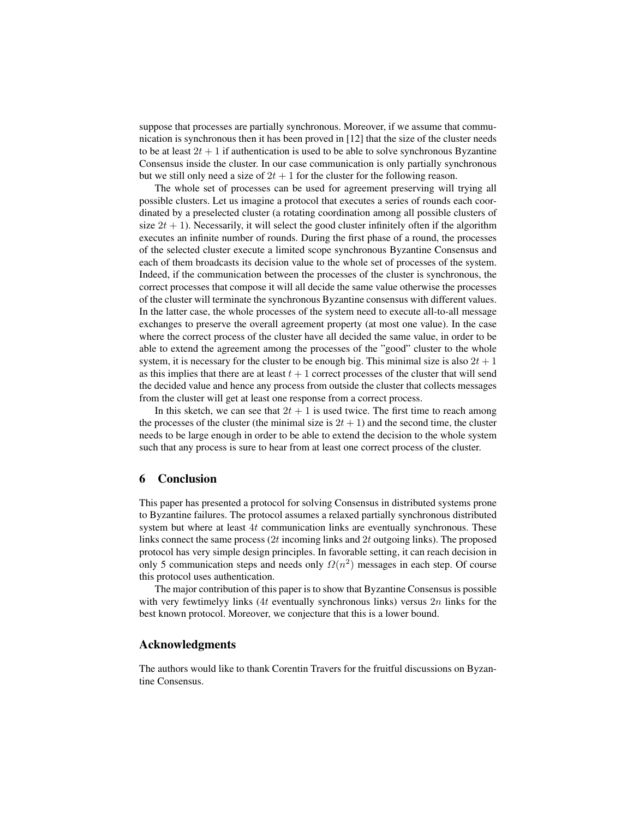suppose that processes are partially synchronous. Moreover, if we assume that communication is synchronous then it has been proved in [12] that the size of the cluster needs to be at least  $2t + 1$  if authentication is used to be able to solve synchronous Byzantine Consensus inside the cluster. In our case communication is only partially synchronous but we still only need a size of  $2t + 1$  for the cluster for the following reason.

The whole set of processes can be used for agreement preserving will trying all possible clusters. Let us imagine a protocol that executes a series of rounds each coordinated by a preselected cluster (a rotating coordination among all possible clusters of size  $2t + 1$ ). Necessarily, it will select the good cluster infinitely often if the algorithm executes an infinite number of rounds. During the first phase of a round, the processes of the selected cluster execute a limited scope synchronous Byzantine Consensus and each of them broadcasts its decision value to the whole set of processes of the system. Indeed, if the communication between the processes of the cluster is synchronous, the correct processes that compose it will all decide the same value otherwise the processes of the cluster will terminate the synchronous Byzantine consensus with different values. In the latter case, the whole processes of the system need to execute all-to-all message exchanges to preserve the overall agreement property (at most one value). In the case where the correct process of the cluster have all decided the same value, in order to be able to extend the agreement among the processes of the "good" cluster to the whole system, it is necessary for the cluster to be enough big. This minimal size is also  $2t + 1$ as this implies that there are at least  $t + 1$  correct processes of the cluster that will send the decided value and hence any process from outside the cluster that collects messages from the cluster will get at least one response from a correct process.

In this sketch, we can see that  $2t + 1$  is used twice. The first time to reach among the processes of the cluster (the minimal size is  $2t + 1$ ) and the second time, the cluster needs to be large enough in order to be able to extend the decision to the whole system such that any process is sure to hear from at least one correct process of the cluster.

## 6 Conclusion

This paper has presented a protocol for solving Consensus in distributed systems prone to Byzantine failures. The protocol assumes a relaxed partially synchronous distributed system but where at least 4t communication links are eventually synchronous. These links connect the same process  $(2t \text{ incoming links and } 2t \text{ outgoing links})$ . The proposed protocol has very simple design principles. In favorable setting, it can reach decision in only 5 communication steps and needs only  $\Omega(n^2)$  messages in each step. Of course this protocol uses authentication.

The major contribution of this paper is to show that Byzantine Consensus is possible with very fewtimelyy links ( $4t$  eventually synchronous links) versus  $2n$  links for the best known protocol. Moreover, we conjecture that this is a lower bound.

## Acknowledgments

The authors would like to thank Corentin Travers for the fruitful discussions on Byzantine Consensus.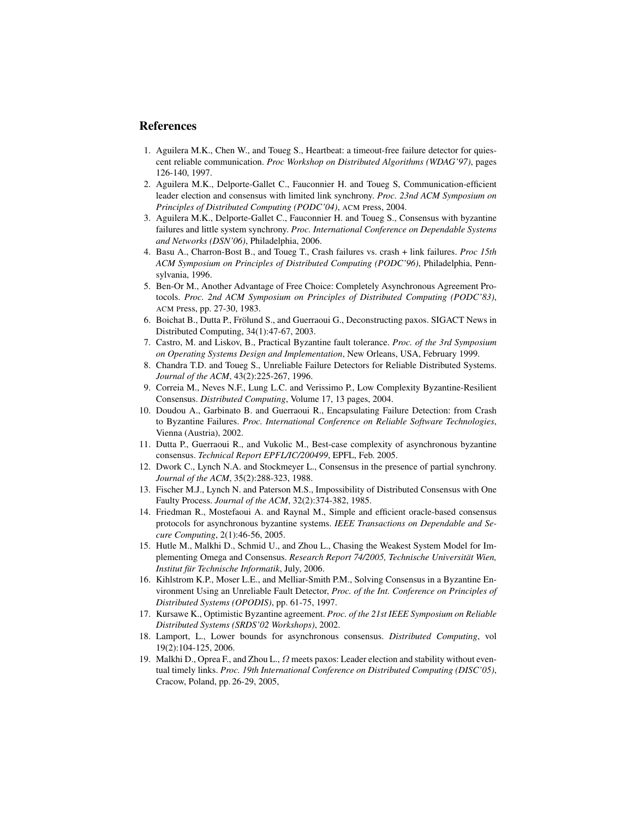## References

- 1. Aguilera M.K., Chen W., and Toueg S., Heartbeat: a timeout-free failure detector for quiescent reliable communication. *Proc Workshop on Distributed Algorithms (WDAG'97)*, pages 126-140, 1997.
- 2. Aguilera M.K., Delporte-Gallet C., Fauconnier H. and Toueg S, Communication-efficient leader election and consensus with limited link synchrony. *Proc. 23nd ACM Symposium on Principles of Distributed Computing (PODC'04)*, ACM Press, 2004.
- 3. Aguilera M.K., Delporte-Gallet C., Fauconnier H. and Toueg S., Consensus with byzantine failures and little system synchrony. *Proc. International Conference on Dependable Systems and Networks (DSN'06)*, Philadelphia, 2006.
- 4. Basu A., Charron-Bost B., and Toueg T., Crash failures vs. crash + link failures. *Proc 15th ACM Symposium on Principles of Distributed Computing (PODC'96)*, Philadelphia, Pennsylvania, 1996.
- 5. Ben-Or M., Another Advantage of Free Choice: Completely Asynchronous Agreement Protocols. *Proc. 2nd ACM Symposium on Principles of Distributed Computing (PODC'83)*, ACM Press, pp. 27-30, 1983.
- 6. Boichat B., Dutta P., Frolund S., and Guerraoui G., Deconstructing paxos. SIGACT News in ¨ Distributed Computing, 34(1):47-67, 2003.
- 7. Castro, M. and Liskov, B., Practical Byzantine fault tolerance. *Proc. of the 3rd Symposium on Operating Systems Design and Implementation*, New Orleans, USA, February 1999.
- 8. Chandra T.D. and Toueg S., Unreliable Failure Detectors for Reliable Distributed Systems. *Journal of the ACM*, 43(2):225-267, 1996.
- 9. Correia M., Neves N.F., Lung L.C. and Verissimo P., Low Complexity Byzantine-Resilient Consensus. *Distributed Computing*, Volume 17, 13 pages, 2004.
- 10. Doudou A., Garbinato B. and Guerraoui R., Encapsulating Failure Detection: from Crash to Byzantine Failures. *Proc. International Conference on Reliable Software Technologies*, Vienna (Austria), 2002.
- 11. Dutta P., Guerraoui R., and Vukolic M., Best-case complexity of asynchronous byzantine consensus. *Technical Report EPFL/IC/200499*, EPFL, Feb. 2005.
- 12. Dwork C., Lynch N.A. and Stockmeyer L., Consensus in the presence of partial synchrony. *Journal of the ACM*, 35(2):288-323, 1988.
- 13. Fischer M.J., Lynch N. and Paterson M.S., Impossibility of Distributed Consensus with One Faulty Process. *Journal of the ACM*, 32(2):374-382, 1985.
- 14. Friedman R., Mostefaoui A. and Raynal M., Simple and efficient oracle-based consensus protocols for asynchronous byzantine systems. *IEEE Transactions on Dependable and Secure Computing*, 2(1):46-56, 2005.
- 15. Hutle M., Malkhi D., Schmid U., and Zhou L., Chasing the Weakest System Model for Implementing Omega and Consensus. *Research Report 74/2005, Technische Universitat Wien, ¨ Institut für Technische Informatik*, July, 2006.
- 16. Kihlstrom K.P., Moser L.E., and Melliar-Smith P.M., Solving Consensus in a Byzantine Environment Using an Unreliable Fault Detector, *Proc. of the Int. Conference on Principles of Distributed Systems (OPODIS)*, pp. 61-75, 1997.
- 17. Kursawe K., Optimistic Byzantine agreement. *Proc. of the 21st IEEE Symposium on Reliable Distributed Systems (SRDS'02 Workshops)*, 2002.
- 18. Lamport, L., Lower bounds for asynchronous consensus. *Distributed Computing*, vol 19(2):104-125, 2006.
- 19. Malkhi D., Oprea F., and Zhou L.,  $\Omega$  meets paxos: Leader election and stability without eventual timely links. *Proc. 19th International Conference on Distributed Computing (DISC'05)*, Cracow, Poland, pp. 26-29, 2005,